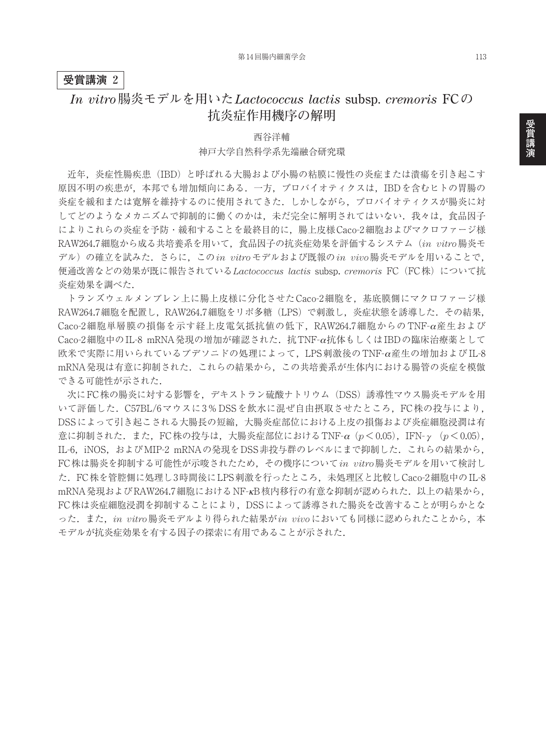## **受賞講演 2**

## *In vitro***腸炎モデルを用いた***Lactococcus lactis* **subsp.** *cremoris* **FC の 抗炎症作用機序の解明**

西谷洋輔 神戸大学自然科学系先端融合研究環

近年,炎症性腸疾患(IBD)と呼ばれる大腸および小腸の粘膜に慢性の炎症または潰瘍を引き起こす 原因不明の疾患が,本邦でも増加傾向にある.一方,プロバイオティクスは,IBDを含むヒトの胃腸の 炎症を緩和または寛解を維持するのに使用されてきた.しかしながら,プロバイオティクスが腸炎に対 してどのようなメカニズムで抑制的に働くのかは、未だ完全に解明されてはいない.我々は、食品因子 によりこれらの炎症を予防・緩和することを最終目的に,腸上皮様Caco-2細胞およびマクロファージ様 RAW264.7細胞から成る共培養系を用いて,食品因子の抗炎症効果を評価するシステム(*in vitro*腸炎モ デル)の確立を試みた.さらに,この*in vitro*モデルおよび既報の*in vivo*腸炎モデルを用いることで, 便通改善などの効果が既に報告されている*Lactococcus lactis* subsp. *cremoris* FC(FC株)について抗 炎症効果を調べた.

トランズウェルメンブレン上に腸上皮様に分化させたCaco-2細胞を,基底膜側にマクロファージ様 RAW264.7細胞を配置し,RAW264.7細胞をリポ多糖(LPS)で刺激し,炎症状態を誘導した.その結果, Caco-2細胞単層膜の損傷を示す経上皮電気抵抗値の低下,RAW264.7細胞からの TNF-α産生および Caco-2細胞中のIL-8 mRNA発現の増加が確認された.抗TNF-α抗体もしくはIBDの臨床治療薬として 欧米で実際に用いられているブデソニドの処理によって,LPS刺激後のTNF-α産生の増加およびIL-8 mRNA発現は有意に抑制された.これらの結果から,この共培養系が生体内における腸管の炎症を模倣 できる可能性が示された.

次にFC株の腸炎に対する影響を,デキストラン硫酸ナトリウム(DSS)誘導性マウス腸炎モデルを用 いて評価した. C57BL/6マウスに3% DSSを飲水に混ぜ自由摂取させたところ, FC株の投与により, DSSによって引き起こされる大腸長の短縮,大腸炎症部位における上皮の損傷および炎症細胞浸潤は有 意に抑制された.また,FC株の投与は,大腸炎症部位におけるTNF-α(*p*<0.05),IFN-γ(*p*<0.05), IL-6, iNOS, およびMIP-2 mRNAの発現をDSS非投与群のレベルにまで抑制した. これらの結果から, FC株は腸炎を抑制する可能性が示唆されたため,その機序について*in vitro*腸炎モデルを用いて検討し た.FC株を管腔側に処理し3時間後にLPS刺激を行ったところ,未処理区と比較しCaco-2細胞中のIL-8 mRNA発現およびRAW264.7細胞におけるNF-KB核内移行の有意な抑制が認められた. 以上の結果から, FC株は炎症細胞浸潤を抑制することにより,DSSによって誘導された腸炎を改善することが明らかとな った.また,*in vitro*腸炎モデルより得られた結果が*in vivo*においても同様に認められたことから,本 モデルが抗炎症効果を有する因子の探索に有用であることが示された.